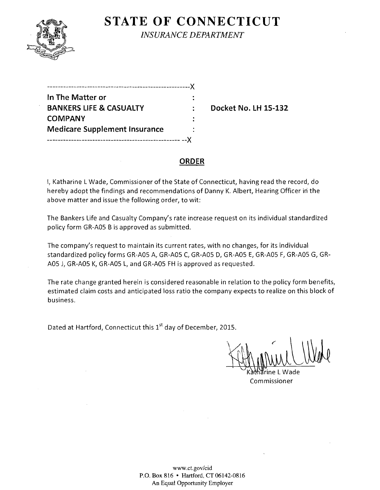

**STATE OF CONNECTICUT** 

*INSURANCE DEPARTMENT* 

| In The Matter or                     |  |
|--------------------------------------|--|
| <b>BANKERS LIFE &amp; CASUALTY</b>   |  |
| <b>COMPANY</b>                       |  |
| <b>Medicare Supplement Insurance</b> |  |
|                                      |  |

**Backet No. LH 15-132** 

#### **ORDER**

I, Katharine L Wade, Commissioner of the State of Connecticut, having read the record, do hereby adopt the findings and recommendations of Danny K. Albert, Hearing Officer in the above matter and issue the following order, to wit:

The Bankers Life and Casualty Company's rate increase request on its individual standardized policy form GR-AOS B is approved as submitted.

The company's request to maintain its current rates, with no changes, for its individual standardized policy forms GR-AOS A, GR-AOS C, GR-AOS D, GR-AOS E, GR-AOS F, GR-AOS G, GR-AOS J, GR-AOS K, GR-AOS L, and GR-AOS FH is approved as requested.

The rate change granted herein is considered reasonable in relation to the policy form benefits, estimated claim costs and anticipated loss ratio the company expects to realize on this block of business.

Dated at Hartford, Connecticut this 1<sup>st</sup> day of December, 2015.

Commissioner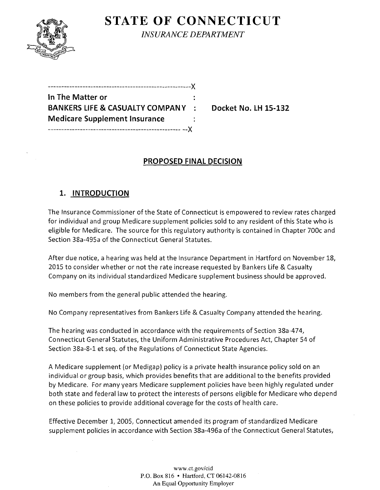

**STATE OF CONNECTICUT** *INSURANCE DEPARTMENT* 

------------------------------------------------------)( **In The Matter or BANKERS LIFE & CASUALTY COMPANY : Docket No. LH 15-132 Medicare Supplement Insurance**  -------------------------------------------------- --)(

# **PROPOSED FINAL DECISION**

# **1. INTRODUCTION**

The Insurance Commissioner of the State of Connecticut is empowered to review rates charged for individual and group Medicare supplement policies sold to any resident of this State who is eligible for Medicare. The source for this regulatory authority is contained in Chapter 700c and Section 38a-495a of the Connecticut General Statutes.

After due notice, a hearing was held at the Insurance Department in Hartford on November 18, 2015 to consider whether or not the rate increase requested by Bankers Life & Casualty Company on its individual standardized Medicare supplement business should be approved.

No members from the general public attended the hearing.

No Company representatives from Bankers Life & Casualty Company attended the hearing.

The hearing was conducted in accordance with the requirements of Section 38a-474, Connecticut General Statutes, the Uniform Administrative Procedures Act, Chapter 54 of Section 38a-8-1 et seq. of the Regulations of Connecticut State Agencies.

A Medicare supplement (or Medigap) policy is a private health insurance policy sold on an individual or group basis, which provides benefits that are additional to the benefits provided by Medicare. For many years Medicare supplement policies have been highly regulated under both state and federal law to protect the interests of persons eligible for Medicare who depend on these policies to provide additional coverage for the costs of health care.

Effective December 1, 2005, Connecticut amended its program of standardized Medicare supplement policies in accordance with Section 38a-496a of the Connecticut General Statutes,

> www.ct.gov/cid P.O. Box 816 • Hartford, CT 06142-0816 An Equal Opportunity Employer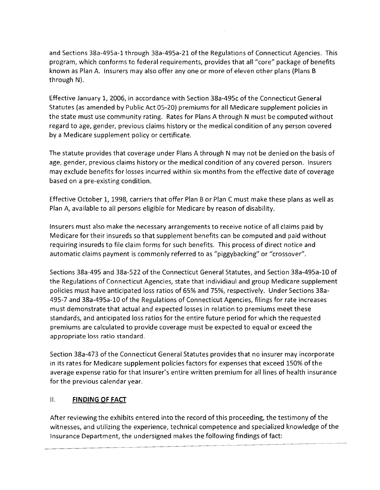and Sections 38a-495a-1 through 38a-495a-21 of the Regulations of Connecticut Agencies. This program, which conforms to federal requirements, provides that all "core" package of benefits known as Plan A. Insurers may also offer anyone or more of eleven other plans (Plans B through N).

Effective January 1, 2006, in accordance with Section 38a-495c of the Connecticut General Statutes (as amended by Public Act 05-20) premiums for all Medicare supplement policies in the state must use community rating. Rates for Plans A through N must be computed without regard to age, gender, previous claims history or the medical condition of any person covered by a Medicare supplement policy or certificate.

The statute provides that coverage under Plans A through N may not be denied on the basis of age, gender, previous claims history or the medical condition of any covered person. Insurers may exclude benefits for losses incurred within six months from the effective date of coverage based on a pre-existing condition.

Effective October 1, 1998, carriers that offer Plan B or Plan C must make these plans as well as Plan A, available to all persons eligible for Medicare by reason of disability.

Insurers must also make the necessary arrangements to receive notice of all claims paid by Medicare for their insureds so that supplement benefits can be computed and paid without requiring insureds to file claim forms for such benefits. This process of direct notice and automatic claims payment is commonly referred to as "piggybacking" or "crossover".

Sections 38a-495 and 38a-522 of the Connecticut General Statutes, and Section 38a-495a-10 of the Regulations of Connecticut Agencies, state that individiaul and group Medicare supplement policies must have anticipated loss ratios of 65% and 75%, respectively. Under Sections 38a-495-7 and 38a-495a-10 of the Regulations of Connecticut Agencies, filings for rate increases must demonstrate that actual and expected losses in relation to premiums meet these standards, and anticipated loss ratios for the entire future period for which the requested premiums are calculated to provide coverage must be expected to equal or exceed the appropriate loss ratio standard.

Section 38a-473 of the Connecticut General Statutes provides that no insurer may incorporate in its rates for Medicare supplement policies factors for expenses that exceed 150% of the average expense ratio for that insurer's entire written premium for all lines of health insurance for the previous calendar year.

### II. **FINDING OF FACT**

After reviewing the exhibits entered into the record of this proceeding, the testimony of the witnesses, and utilizing the experience, technical competence and specialized knowledge of the Insurance Department, the undersigned makes the following findings of fact: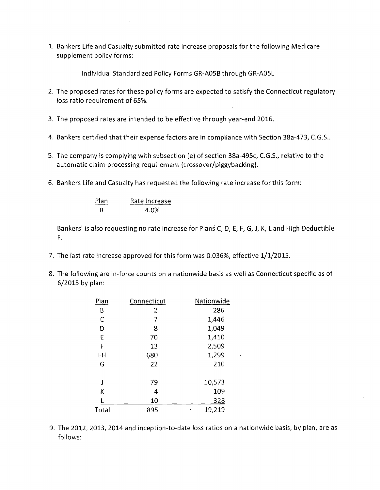1. Bankers Life and Casualty submitted rate increase proposals for the following Medicare supplement policy forms:

Individual Standardized Policy Forms GR-A05Bthrough GR-A05L

- 2. The proposed rates for these policy forms are expected to satisfy the Connecticut regulatory loss ratio requirement of 65%.
- 3. The proposed rates are intended to be effective through year-end 2016.
- 4. Bankers certified that their expense factors are in compliance with Section 38a-473, e.G.S..
- 5. The company is complying with subsection (e) of section 38a-495c, C.G.S., relative to the automatic claim-processing requirement (crossover/piggybacking).
- 6. Bankers Life and Casualty has requested the following rate increase for this form:

| Plan | Rate Increase |
|------|---------------|
| B.   | 4.0%          |

Bankers' is also requesting no rate increase for Plans C, D, E, F, G, J, K, L and High Deductible F.

- 7. The last rate increase approved for this form was 0.036%, effective 1/1/2015.
- 8. The following are in-force counts on a nationwide basis as well as Connecticut specific as of 6/2015 by plan:

| Plan  | Connecticut | Nationwide |
|-------|-------------|------------|
| В     | 2           | 286        |
| C     | 7           | 1,446      |
| D     | 8           | 1,049      |
| E     | 70          | 1,410      |
| F     | 13          | 2,509      |
| FH    | 680         | 1,299      |
| G     | 22          | 210        |
| J     | 79          | 10,573     |
| Κ     | 4           | 109        |
|       | 10          | <u>328</u> |
| Total | 895         | 19,219     |

9. The 2012, 2013, 2014 and inception-to-date loss ratios on a nationwide basis, by plan, are as follows: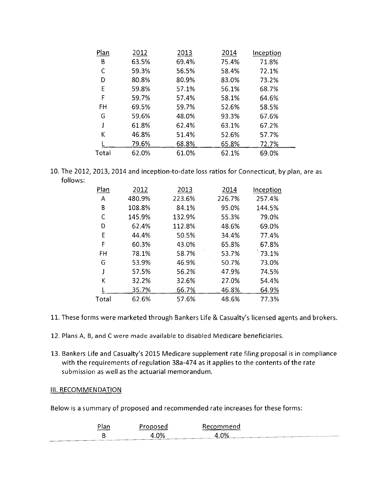| Plan  | 2012  | 2013  | 2014  | Inception |  |
|-------|-------|-------|-------|-----------|--|
| Β     | 63.5% | 69.4% | 75.4% | 71.8%     |  |
|       | 59.3% | 56.5% | 58.4% | 72.1%     |  |
| D     | 80.8% | 80.9% | 83.0% | 73.2%     |  |
| E     | 59.8% | 57.1% | 56.1% | 68.7%     |  |
| F     | 59.7% | 57.4% | 58.1% | 64.6%     |  |
| FH    | 69.5% | 59.7% | 52.6% | 58.5%     |  |
| G     | 59.6% | 48.0% | 93.3% | 67.6%     |  |
|       | 61.8% | 62.4% | 63.1% | 67.2%     |  |
| K     | 46.8% | 51.4% | 52.6% | 57.7%     |  |
|       | 79.6% | 68.8% | 65.8% | 72.7%     |  |
| Total | 62.0% | 61.0% | 62.1% | 69.0%     |  |

10. The 2012, 2013, 2014 and inception-to-date loss ratios for Connecticut, by plan, are as follows:

| Plan  | 2012   | 2013   | 2014   | Inception |
|-------|--------|--------|--------|-----------|
| A     | 480.9% | 223.6% | 226.7% | 257.4%    |
| B     | 108.8% | 84.1%  | 95.0%  | 144.5%    |
| C     | 145.9% | 132.9% | 55.3%  | 79.0%     |
| D     | 62.4%  | 112.8% | 48.6%  | 69.0%     |
| E     | 44.4%  | 50.5%  | 34.4%  | 77.4%     |
| F     | 60.3%  | 43.0%  | 65.8%  | 67.8%     |
| FH    | 78.1%  | 58.7%  | 53.7%  | 73.1%     |
| G     | 53.9%  | 46.9%  | 50.7%  | 73.0%     |
|       | 57.5%  | 56.2%  | 47.9%  | 74.5%     |
| К     | 32.2%  | 32.6%  | 27.0%  | 54.4%     |
|       | 35.7%  | 66.7%  | 46.8%  | 64.9%     |
| Total | 62.6%  | 57.6%  | 48.6%  | 77.3%     |

- 11. These forms were marketed through Bankers Life & Casualty's licensed agents and brokers.
- 12. Plans A, B, and C were made available to disabled Medicare beneficiaries.
- 13. Bankers Life and Casualty's 2015 Medicare supplement rate filing proposal is in compliance with the requirements of regulation 38a-474 as it applies to the contents of the rate submission as well as the actuarial memorandum.

#### III. RECOMMENDATION

Below is a summary of proposed and recommended rate increases for these forms:

| $\sim$<br><u>Plan</u> | Proposed | Recommend    |
|-----------------------|----------|--------------|
|                       | 4.0%     | $\Lambda$ 0% |